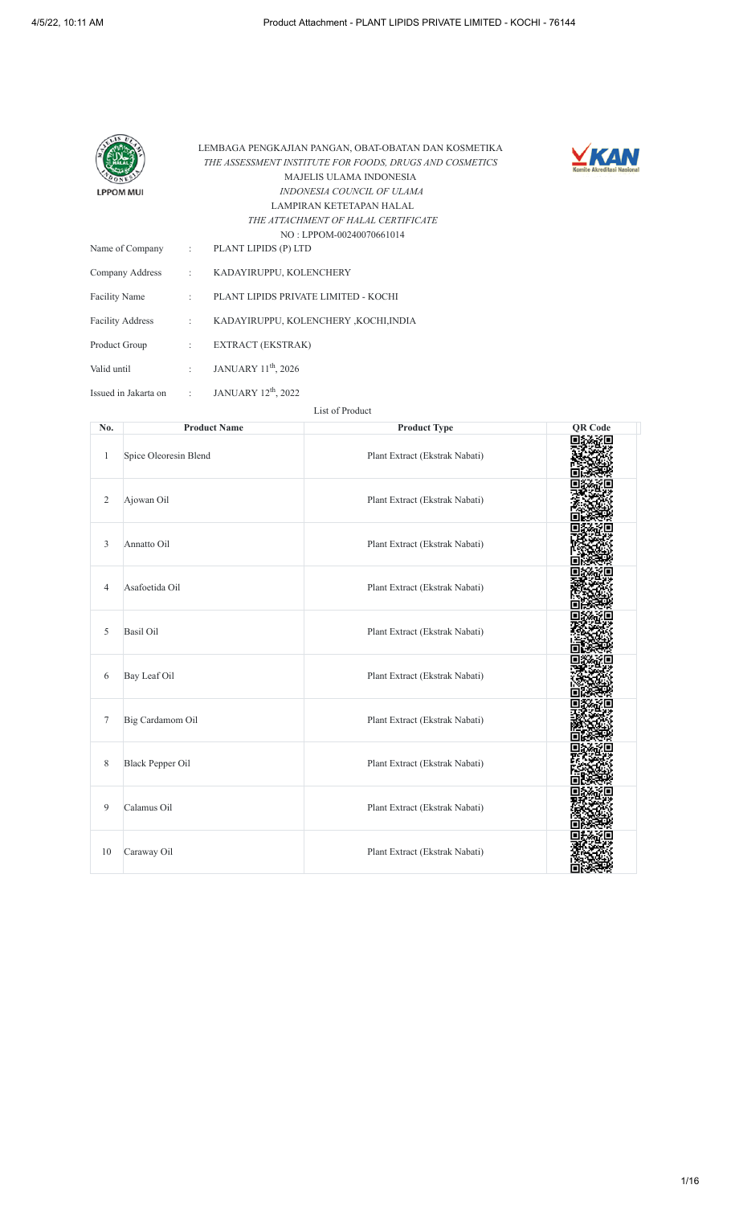|                         | LEMBAGA PENGKAJIAN PANGAN, OBAT-OBATAN DAN KOSMETIKA<br>THE ASSESSMENT INSTITUTE FOR FOODS, DRUGS AND COSMETICS<br><b>MAJELIS ULAMA INDONESIA</b> |                                      |  |
|-------------------------|---------------------------------------------------------------------------------------------------------------------------------------------------|--------------------------------------|--|
| <b>LPPOM MUI</b>        |                                                                                                                                                   | <b>INDONESIA COUNCIL OF ULAMA</b>    |  |
|                         |                                                                                                                                                   | <b>LAMPIRAN KETETAPAN HALAL</b>      |  |
|                         |                                                                                                                                                   | THE ATTACHMENT OF HALAL CERTIFICATE  |  |
|                         |                                                                                                                                                   | NO: LPPOM-00240070661014             |  |
| Name of Company         | $10000$                                                                                                                                           | PLANT LIPIDS (P) LTD                 |  |
| Company Address         | $\ddot{\phantom{a}}$                                                                                                                              | KADAYIRUPPU, KOLENCHERY              |  |
| <b>Facility Name</b>    | t in                                                                                                                                              | PLANT LIPIDS PRIVATE LIMITED - KOCHI |  |
| <b>Facility Address</b> | ÷                                                                                                                                                 | KADAYIRUPPU, KOLENCHERY ,KOCHI,INDIA |  |
| Product Group           | ÷                                                                                                                                                 | EXTRACT (EKSTRAK)                    |  |
| Valid until             | $\mathbf{r}$                                                                                                                                      | JANUARY 11 <sup>th</sup> , 2026      |  |
| Issued in Jakarta on    | $\pm$                                                                                                                                             | JANUARY 12th, 2022                   |  |



| List of Product  |                         |                                |                |  |
|------------------|-------------------------|--------------------------------|----------------|--|
| No.              | <b>Product Name</b>     | <b>Product Type</b>            | <b>QR</b> Code |  |
| $\mathbf{1}$     | Spice Oleoresin Blend   | Plant Extract (Ekstrak Nabati) |                |  |
| $\overline{2}$   | Ajowan Oil              | Plant Extract (Ekstrak Nabati) |                |  |
| 3                | Annatto Oil             | Plant Extract (Ekstrak Nabati) |                |  |
| $\overline{4}$   | Asafoetida Oil          | Plant Extract (Ekstrak Nabati) |                |  |
| 5                | Basil Oil               | Plant Extract (Ekstrak Nabati) |                |  |
| 6                | Bay Leaf Oil            | Plant Extract (Ekstrak Nabati) |                |  |
| $\boldsymbol{7}$ | Big Cardamom Oil        | Plant Extract (Ekstrak Nabati) |                |  |
| 8                | <b>Black Pepper Oil</b> | Plant Extract (Ekstrak Nabati) |                |  |
| 9                | Calamus Oil             | Plant Extract (Ekstrak Nabati) |                |  |
| 10               | Caraway Oil             | Plant Extract (Ekstrak Nabati) |                |  |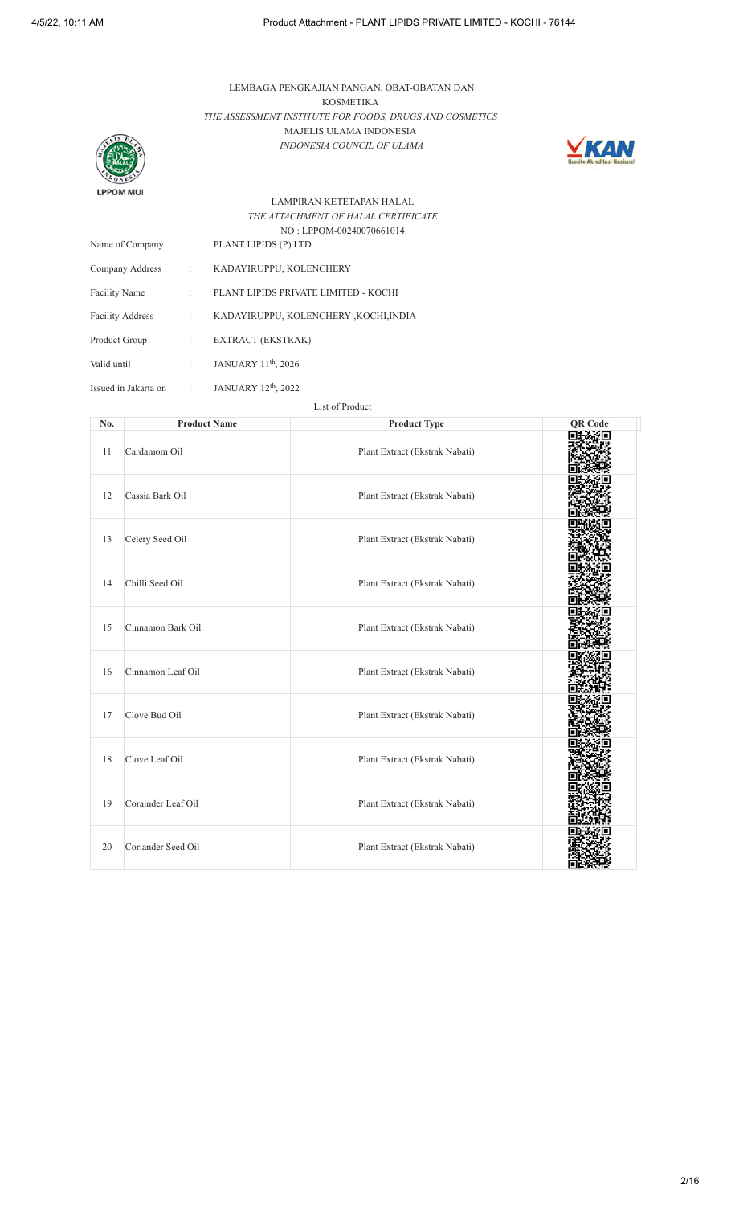⊻KAN

| LEMBAGA PENGKAJIAN PANGAN, OBAT-OBATAN DAN              |
|---------------------------------------------------------|
| KOSMETIKA                                               |
| THE ASSESSMENT INSTITUTE FOR FOODS, DRUGS AND COSMETICS |
| MAJELIS ULAMA INDONESIA                                 |
| INDONESIA COUNCIL OF ULAMA                              |
|                                                         |



| <b>LPPOM MUI</b>        |                   |                                      |
|-------------------------|-------------------|--------------------------------------|
|                         |                   | <b>LAMPIRAN KETETAPAN HALAL</b>      |
|                         |                   | THE ATTACHMENT OF HALAL CERTIFICATE  |
|                         |                   | NO: LPPOM-00240070661014             |
| Name of Company         | <b>Contractor</b> | PLANT LIPIDS (P) LTD                 |
| Company Address         | <b>Contractor</b> | KADAYIRUPPU, KOLENCHERY              |
| <b>Facility Name</b>    | ÷                 | PLANT LIPIDS PRIVATE LIMITED - KOCHI |
| <b>Facility Address</b> | $1 - 1$           | KADAYIRUPPU, KOLENCHERY ,KOCHI,INDIA |
| Product Group           | 2.11              | EXTRACT (EKSTRAK)                    |
| Valid until             |                   | JANUARY 11 <sup>th</sup> , 2026      |

Issued in Jakarta on : JANUARY 12<sup>th</sup>, 2022

| No. | <b>Product Name</b> | <b>Product Type</b>            | <b>QR</b> Code |
|-----|---------------------|--------------------------------|----------------|
| 11  | Cardamom Oil        | Plant Extract (Ekstrak Nabati) |                |
| 12  | Cassia Bark Oil     | Plant Extract (Ekstrak Nabati) |                |
| 13  | Celery Seed Oil     | Plant Extract (Ekstrak Nabati) |                |
| 14  | Chilli Seed Oil     | Plant Extract (Ekstrak Nabati) |                |
| 15  | Cinnamon Bark Oil   | Plant Extract (Ekstrak Nabati) |                |
| 16  | Cinnamon Leaf Oil   | Plant Extract (Ekstrak Nabati) |                |
| 17  | Clove Bud Oil       | Plant Extract (Ekstrak Nabati) |                |
| 18  | Clove Leaf Oil      | Plant Extract (Ekstrak Nabati) |                |
| 19  | Corainder Leaf Oil  | Plant Extract (Ekstrak Nabati) |                |
| 20  | Coriander Seed Oil  | Plant Extract (Ekstrak Nabati) |                |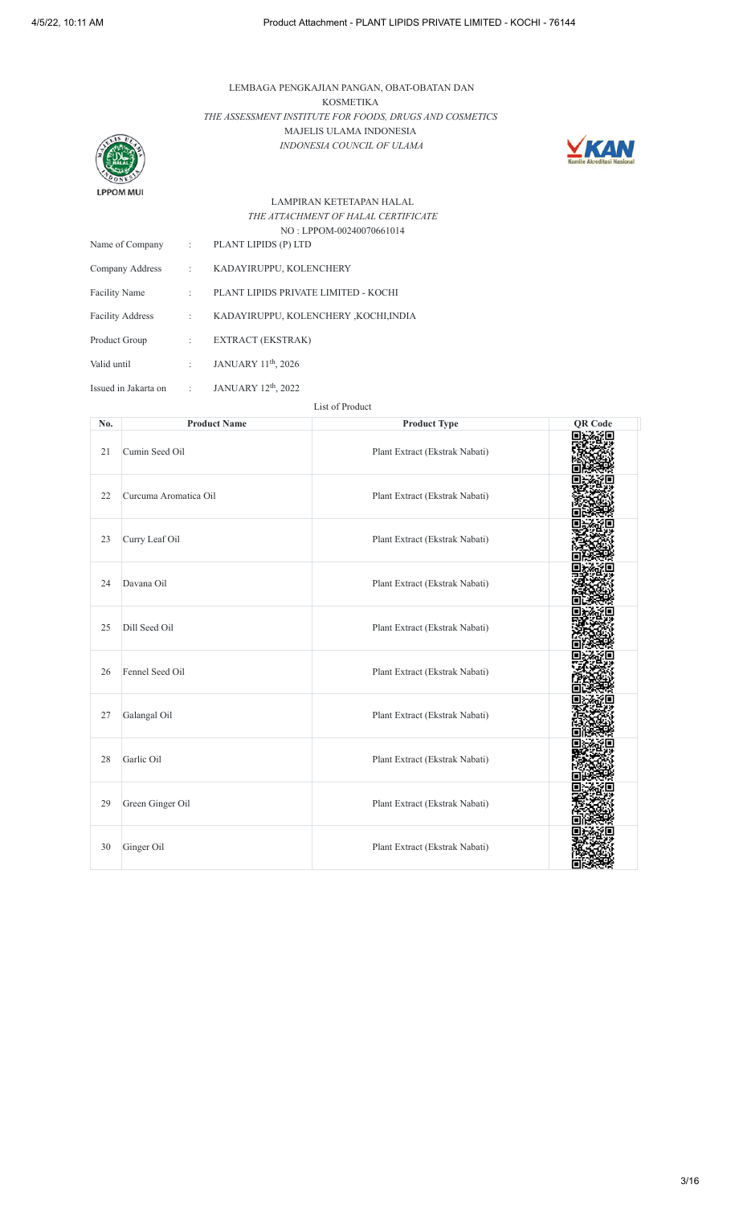| LEMBAGA PENGKAJIAN PANGAN, OBAT-OBATAN DAN              |
|---------------------------------------------------------|
| KOSMETIKA                                               |
| THE ASSESSMENT INSTITUTE FOR FOODS, DRUGS AND COSMETICS |
| <b>MAJELIS ULAMA INDONESIA</b>                          |
| INDONESIA COUNCIL OF ULAMA                              |
|                                                         |



| Komite Akreditasi Nasional |  |
|----------------------------|--|

| <b>LPPOM MUL</b>                                               |                           | LAMPIRAN KETETAPAN HALAL<br>THE ATTACHMENT OF HALAL CERTIFICATE |
|----------------------------------------------------------------|---------------------------|-----------------------------------------------------------------|
| Name of Company                                                | <b>Contractor</b>         | NO: LPPOM-00240070661014<br>PLANT LIPIDS (P) LTD                |
| Company Address                                                | $1 - 1$                   | KADAYIRUPPU, KOLENCHERY                                         |
| <b>Facility Name</b>                                           | $\ddot{\phantom{a}}$      | PLANT LIPIDS PRIVATE LIMITED - KOCHI                            |
| <b>Facility Address</b>                                        | $1 - 1$                   | KADAYIRUPPU, KOLENCHERY ,KOCHI,INDIA                            |
| Product Group                                                  | $\mathbb{R}^{\mathbb{Z}}$ | EXTRACT (EKSTRAK)                                               |
| JANUARY 11 <sup>th</sup> , 2026<br>Valid until<br>$\mathbf{r}$ |                           |                                                                 |
| Issued in Jakarta on                                           | $1 - 1$                   | JANUARY 12 <sup>th</sup> , 2022                                 |
|                                                                |                           | List of Product                                                 |

| No. | <b>Product Name</b>   | <b>Product Type</b>            | <b>QR</b> Code |
|-----|-----------------------|--------------------------------|----------------|
| 21  | Cumin Seed Oil        | Plant Extract (Ekstrak Nabati) |                |
| 22  | Curcuma Aromatica Oil | Plant Extract (Ekstrak Nabati) |                |
| 23  | Curry Leaf Oil        | Plant Extract (Ekstrak Nabati) |                |
| 24  | Davana Oil            | Plant Extract (Ekstrak Nabati) |                |
| 25  | Dill Seed Oil         | Plant Extract (Ekstrak Nabati) |                |
| 26  | Fennel Seed Oil       | Plant Extract (Ekstrak Nabati) |                |
| 27  | Galangal Oil          | Plant Extract (Ekstrak Nabati) |                |
| 28  | Garlic Oil            | Plant Extract (Ekstrak Nabati) |                |
| 29  | Green Ginger Oil      | Plant Extract (Ekstrak Nabati) |                |
| 30  | Ginger Oil            | Plant Extract (Ekstrak Nabati) |                |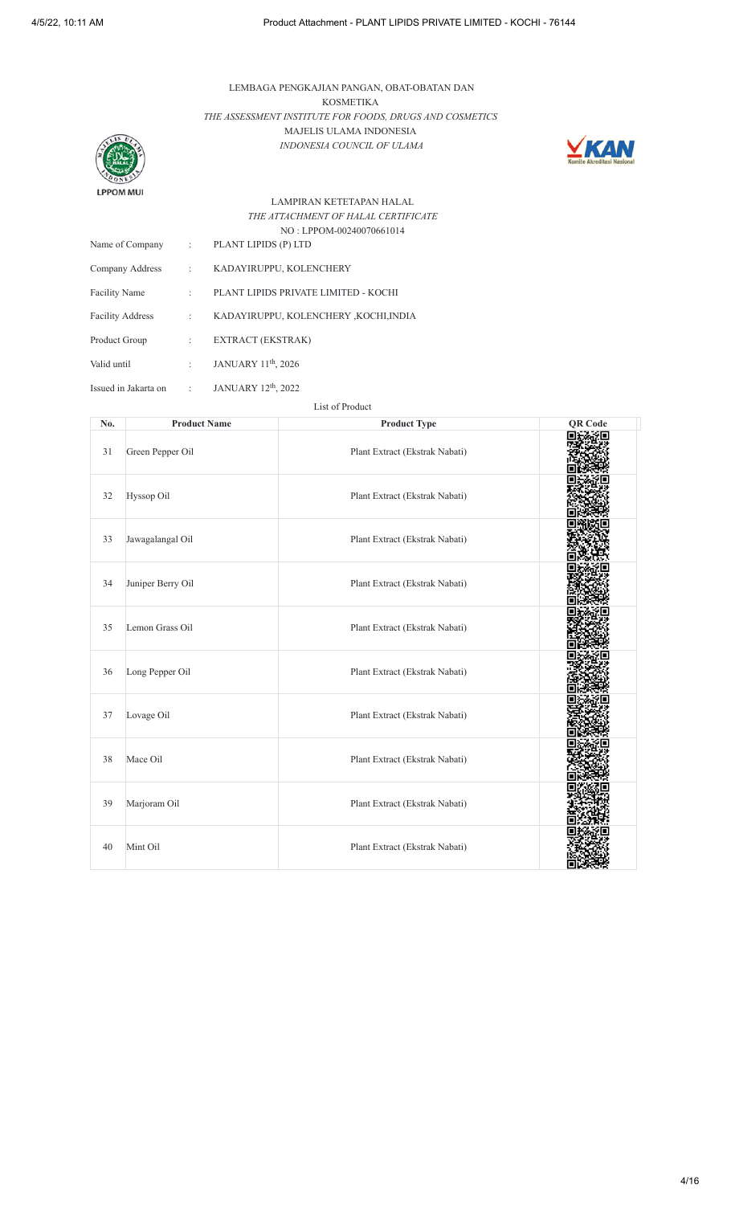| LEMBAGA PENGKAJIAN PANGAN, OBAT-OBATAN DAN              |
|---------------------------------------------------------|
| KOSMETIK A                                              |
| THE ASSESSMENT INSTITUTE FOR FOODS, DRUGS AND COSMETICS |
| MAJELIS ULAMA INDONESIA                                 |
| INDONESIA COUNCIL OF ULAMA                              |
|                                                         |



| omite Akreditasi Nasional |  |
|---------------------------|--|

| <b>LEFUIVI IVIUI</b>    |                                            | LAMPIRAN KETETAPAN HALAL<br>THE ATTACHMENT OF HALAL CERTIFICATE<br>NO: LPPOM-00240070661014 |  |
|-------------------------|--------------------------------------------|---------------------------------------------------------------------------------------------|--|
| Name of Company         | $\mathcal{X} \subset \mathcal{X}$          | PLANT LIPIDS (P) LTD                                                                        |  |
| Company Address         | 2.11                                       | KADAYIRUPPU, KOLENCHERY                                                                     |  |
| <b>Facility Name</b>    | $\mathcal{L}$                              | PLANT LIPIDS PRIVATE LIMITED - KOCHI                                                        |  |
| <b>Facility Address</b> | $1 - 1$                                    | KADAYIRUPPU, KOLENCHERY ,KOCHI,INDIA                                                        |  |
| Product Group           | $1 - 1$                                    | EXTRACT (EKSTRAK)                                                                           |  |
| Valid until             | $\ddot{\phantom{a}}$                       | JANUARY 11 <sup>th</sup> , 2026                                                             |  |
| Issued in Jakarta on    | JANUARY 12 <sup>th</sup> , 2022<br>$1 - 1$ |                                                                                             |  |
|                         |                                            | List of Product                                                                             |  |

| No. | <b>Product Name</b> | <b>Product Type</b>            | <b>QR</b> Code |
|-----|---------------------|--------------------------------|----------------|
| 31  | Green Pepper Oil    | Plant Extract (Ekstrak Nabati) |                |
| 32  | Hyssop Oil          | Plant Extract (Ekstrak Nabati) |                |
| 33  | Jawagalangal Oil    | Plant Extract (Ekstrak Nabati) |                |
| 34  | Juniper Berry Oil   | Plant Extract (Ekstrak Nabati) |                |
| 35  | Lemon Grass Oil     | Plant Extract (Ekstrak Nabati) |                |
| 36  | Long Pepper Oil     | Plant Extract (Ekstrak Nabati) |                |
| 37  | Lovage Oil          | Plant Extract (Ekstrak Nabati) |                |
| 38  | Mace Oil            | Plant Extract (Ekstrak Nabati) |                |
| 39  | Marjoram Oil        | Plant Extract (Ekstrak Nabati) |                |
| 40  | Mint Oil            | Plant Extract (Ekstrak Nabati) |                |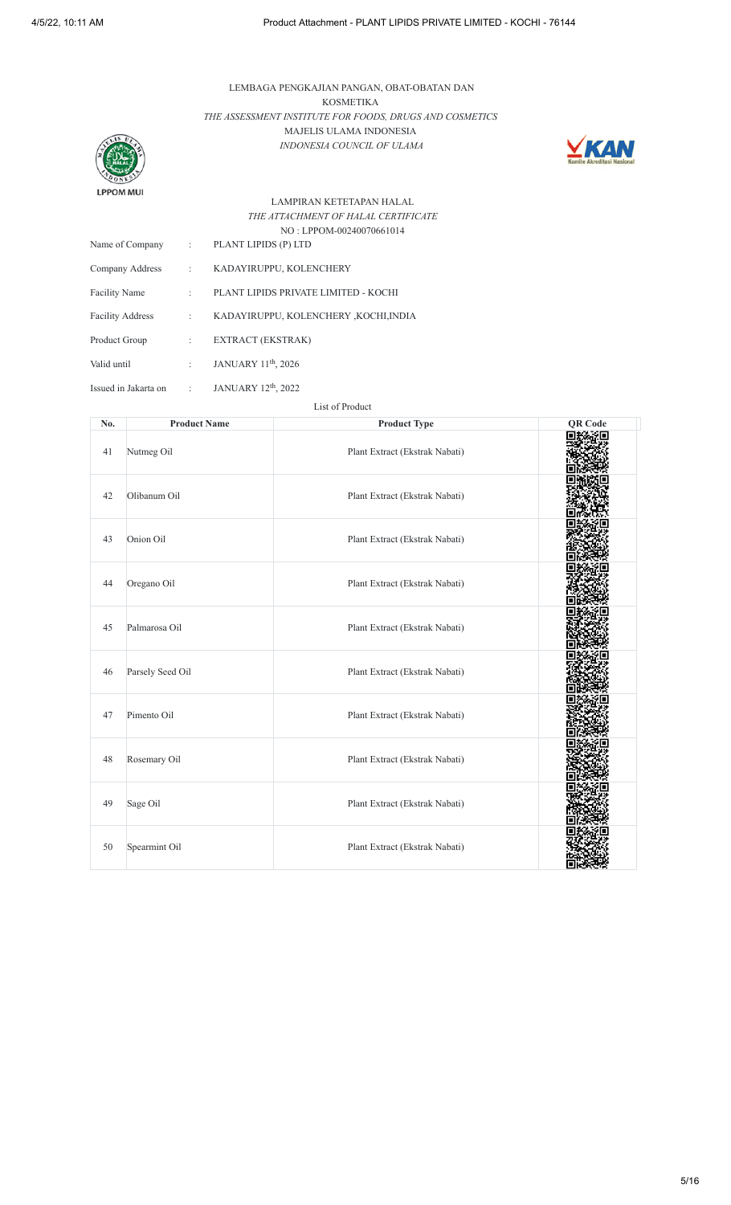| LEMBAGA PENGKAJIAN PANGAN, OBAT-OBATAN DAN              |
|---------------------------------------------------------|
| KOSMETIK A                                              |
| THE ASSESSMENT INSTITUTE FOR FOODS, DRUGS AND COSMETICS |
| <b>MAJELIS ULAMA INDONESIA</b>                          |
| INDONESIA COUNCIL OF ULAMA                              |
|                                                         |



| omite Akreditasi Nasional |  |
|---------------------------|--|

| LE E VIVI IVIUI                                                                  |                        | LAMPIRAN KETETAPAN HALAL<br>THE ATTACHMENT OF HALAL CERTIFICATE<br>NO: LPPOM-00240070661014 |  |
|----------------------------------------------------------------------------------|------------------------|---------------------------------------------------------------------------------------------|--|
| Name of Company                                                                  | $\sim 1000$ km $^{-1}$ | PLANT LIPIDS (P) LTD                                                                        |  |
| Company Address                                                                  | $2.5-1.5$              | KADAYIRUPPU, KOLENCHERY                                                                     |  |
| PLANT LIPIDS PRIVATE LIMITED - KOCHI<br><b>Facility Name</b><br>$\mathbb{R}^{n}$ |                        |                                                                                             |  |
| <b>Facility Address</b>                                                          | $1 - 1$                | KADAYIRUPPU, KOLENCHERY ,KOCHI,INDIA                                                        |  |
| Product Group<br>$1 - 1$                                                         |                        | EXTRACT (EKSTRAK)                                                                           |  |
| Valid until<br>÷                                                                 |                        | JANUARY 11 <sup>th</sup> , 2026                                                             |  |
| Issued in Jakarta on :                                                           |                        | JANUARY 12 <sup>th</sup> , 2022                                                             |  |
|                                                                                  |                        | List of Product                                                                             |  |

| No. | <b>Product Name</b> | <b>Product Type</b>            | <b>QR</b> Code |
|-----|---------------------|--------------------------------|----------------|
| 41  | Nutmeg Oil          | Plant Extract (Ekstrak Nabati) |                |
| 42  | Olibanum Oil        | Plant Extract (Ekstrak Nabati) |                |
| 43  | Onion Oil           | Plant Extract (Ekstrak Nabati) |                |
| 44  | Oregano Oil         | Plant Extract (Ekstrak Nabati) |                |
| 45  | Palmarosa Oil       | Plant Extract (Ekstrak Nabati) |                |
| 46  | Parsely Seed Oil    | Plant Extract (Ekstrak Nabati) |                |
| 47  | Pimento Oil         | Plant Extract (Ekstrak Nabati) |                |
| 48  | Rosemary Oil        | Plant Extract (Ekstrak Nabati) |                |
| 49  | Sage Oil            | Plant Extract (Ekstrak Nabati) |                |
| 50  | Spearmint Oil       | Plant Extract (Ekstrak Nabati) |                |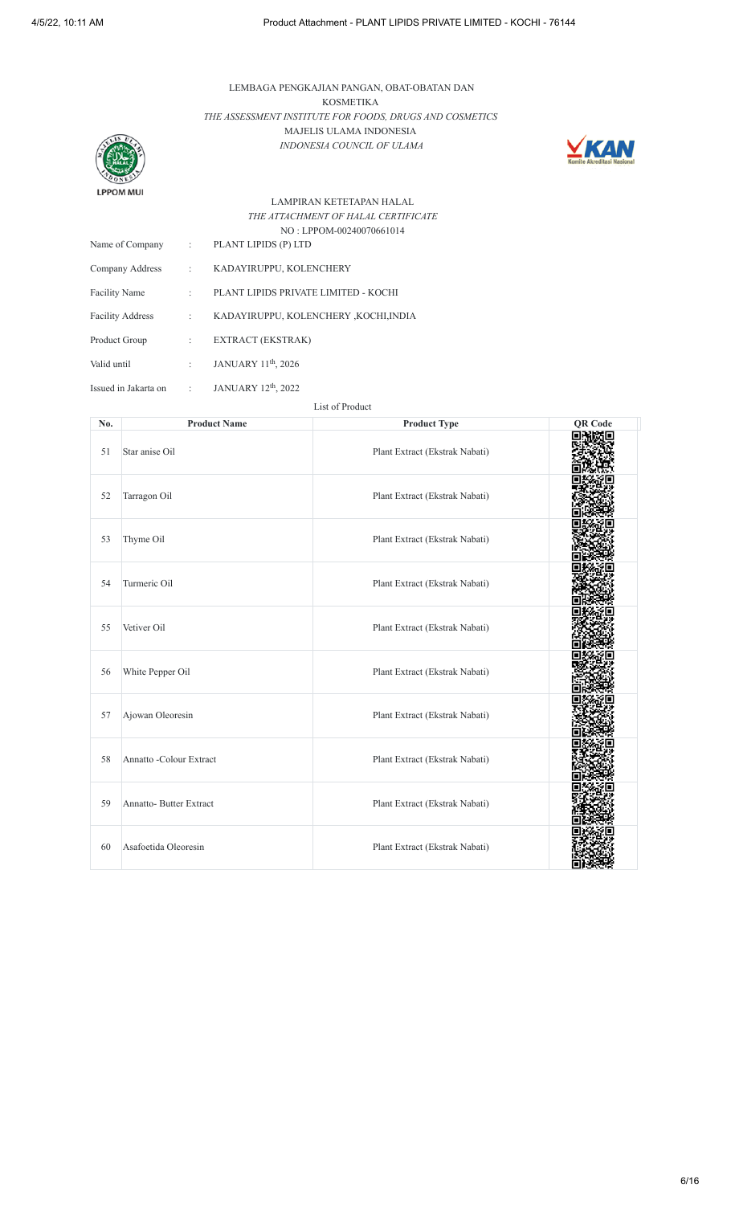| LEMBAGA PENGKAJIAN PANGAN, OBAT-OBATAN DAN              |
|---------------------------------------------------------|
| KOSMETIKA                                               |
| THE ASSESSMENT INSTITUTE FOR FOODS. DRUGS AND COSMETICS |
| MAJELIS ULAMA INDONESIA                                 |
| INDONESIA COUNCIL OF ULAMA                              |
|                                                         |



| omite Akreditasi Nasional |  |
|---------------------------|--|

| LE E VIVI IVIUI                                                                  |                        | LAMPIRAN KETETAPAN HALAL<br>THE ATTACHMENT OF HALAL CERTIFICATE<br>NO: LPPOM-00240070661014 |  |
|----------------------------------------------------------------------------------|------------------------|---------------------------------------------------------------------------------------------|--|
| Name of Company                                                                  | $\sim 1000$ km $^{-1}$ | PLANT LIPIDS (P) LTD                                                                        |  |
| Company Address                                                                  | $2.5-1.5$              | KADAYIRUPPU, KOLENCHERY                                                                     |  |
| PLANT LIPIDS PRIVATE LIMITED - KOCHI<br><b>Facility Name</b><br>$\mathbb{R}^{n}$ |                        |                                                                                             |  |
| <b>Facility Address</b>                                                          | $1 - 1$                | KADAYIRUPPU, KOLENCHERY ,KOCHI,INDIA                                                        |  |
| Product Group<br>$1 - 1$                                                         |                        | EXTRACT (EKSTRAK)                                                                           |  |
| Valid until<br>÷                                                                 |                        | JANUARY 11 <sup>th</sup> , 2026                                                             |  |
| Issued in Jakarta on :                                                           |                        | JANUARY 12 <sup>th</sup> , 2022                                                             |  |
|                                                                                  |                        | List of Product                                                                             |  |

| No. | <b>Product Name</b>     | <b>Product Type</b>            | <b>QR</b> Code |
|-----|-------------------------|--------------------------------|----------------|
| 51  | Star anise Oil          | Plant Extract (Ekstrak Nabati) |                |
| 52  | Tarragon Oil            | Plant Extract (Ekstrak Nabati) |                |
| 53  | Thyme Oil               | Plant Extract (Ekstrak Nabati) |                |
| 54  | Turmeric Oil            | Plant Extract (Ekstrak Nabati) |                |
| 55  | Vetiver Oil             | Plant Extract (Ekstrak Nabati) |                |
| 56  | White Pepper Oil        | Plant Extract (Ekstrak Nabati) |                |
| 57  | Ajowan Oleoresin        | Plant Extract (Ekstrak Nabati) |                |
| 58  | Annatto -Colour Extract | Plant Extract (Ekstrak Nabati) |                |
| 59  | Annatto- Butter Extract | Plant Extract (Ekstrak Nabati) |                |
| 60  | Asafoetida Oleoresin    | Plant Extract (Ekstrak Nabati) |                |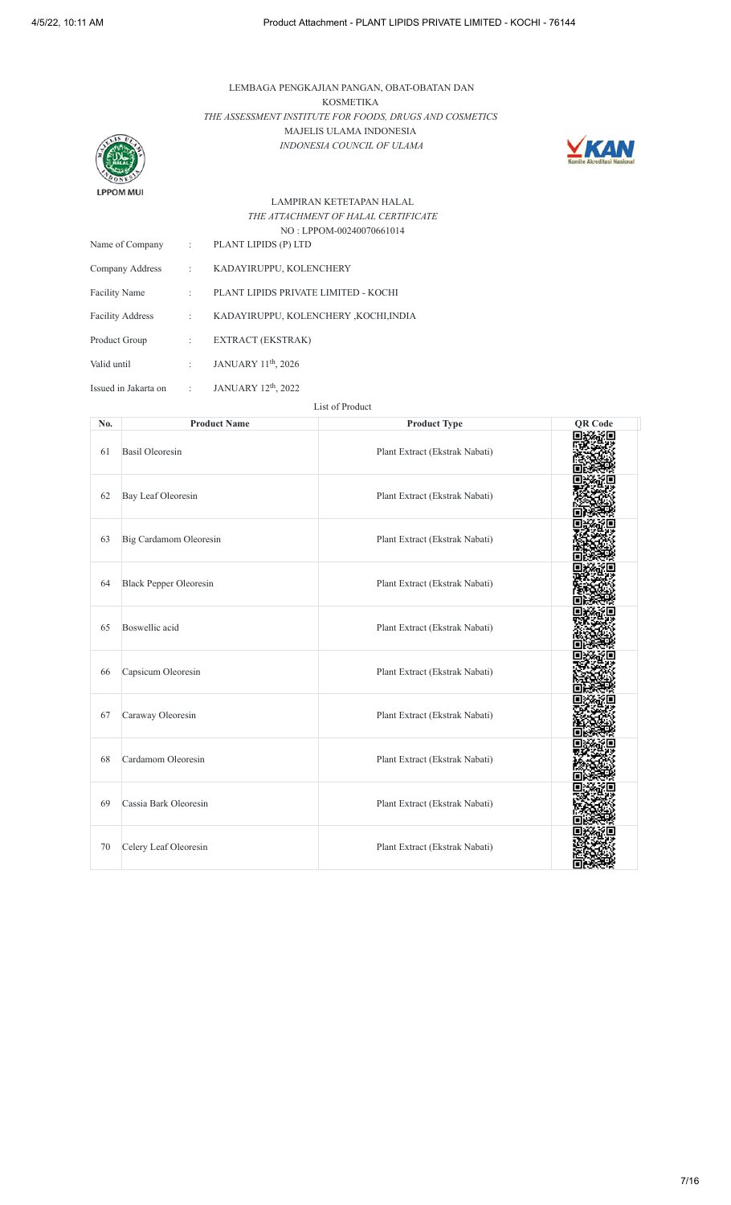| LEMBAGA PENGKAJIAN PANGAN, OBAT-OBATAN DAN              |
|---------------------------------------------------------|
| KOSMETIKA                                               |
| THE ASSESSMENT INSTITUTE FOR FOODS, DRUGS AND COSMETICS |
| MAJELIS ULAMA INDONESIA                                 |
| INDONESIA COUNCIL OF ULAMA                              |
|                                                         |



| Komite Akreditasi Nasional |  |
|----------------------------|--|

| LE E VIVI IVIUI                                                                  |                        | LAMPIRAN KETETAPAN HALAL<br>THE ATTACHMENT OF HALAL CERTIFICATE<br>NO: LPPOM-00240070661014 |  |
|----------------------------------------------------------------------------------|------------------------|---------------------------------------------------------------------------------------------|--|
| Name of Company                                                                  | $\sim 1000$ km $^{-1}$ | PLANT LIPIDS (P) LTD                                                                        |  |
| Company Address                                                                  | $2.5-1.5$              | KADAYIRUPPU, KOLENCHERY                                                                     |  |
| PLANT LIPIDS PRIVATE LIMITED - KOCHI<br><b>Facility Name</b><br>$\mathbb{R}^{n}$ |                        |                                                                                             |  |
| <b>Facility Address</b>                                                          | $1 - 1$                | KADAYIRUPPU, KOLENCHERY ,KOCHI,INDIA                                                        |  |
| Product Group<br>$1 - 1$                                                         |                        | EXTRACT (EKSTRAK)                                                                           |  |
| Valid until<br>÷                                                                 |                        | JANUARY 11 <sup>th</sup> , 2026                                                             |  |
| Issued in Jakarta on :                                                           |                        | JANUARY 12 <sup>th</sup> , 2022                                                             |  |
|                                                                                  |                        | List of Product                                                                             |  |

| No. | <b>Product Name</b>           | <b>Product Type</b>            | QR Code |
|-----|-------------------------------|--------------------------------|---------|
| 61  | <b>Basil Oleoresin</b>        | Plant Extract (Ekstrak Nabati) |         |
| 62  | Bay Leaf Oleoresin            | Plant Extract (Ekstrak Nabati) |         |
| 63  | Big Cardamom Oleoresin        | Plant Extract (Ekstrak Nabati) |         |
| 64  | <b>Black Pepper Oleoresin</b> | Plant Extract (Ekstrak Nabati) |         |
| 65  | Boswellic acid                | Plant Extract (Ekstrak Nabati) |         |
| 66  | Capsicum Oleoresin            | Plant Extract (Ekstrak Nabati) |         |
| 67  | Caraway Oleoresin             | Plant Extract (Ekstrak Nabati) |         |
| 68  | Cardamom Oleoresin            | Plant Extract (Ekstrak Nabati) |         |
| 69  | Cassia Bark Oleoresin         | Plant Extract (Ekstrak Nabati) |         |
| 70  | Celery Leaf Oleoresin         | Plant Extract (Ekstrak Nabati) |         |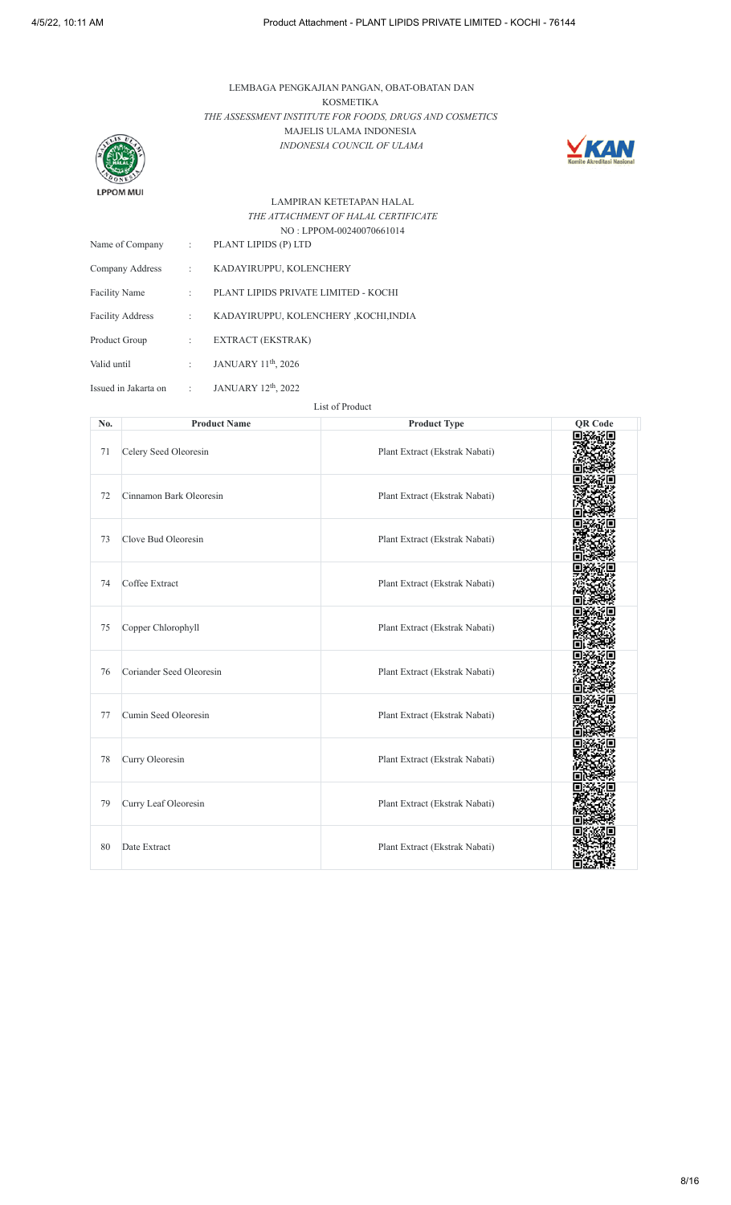| LEMBAGA PENGKAJIAN PANGAN. OBAT-OBATAN DAN              |
|---------------------------------------------------------|
| KOSMETIKA                                               |
| THE ASSESSMENT INSTITUTE FOR FOODS, DRUGS AND COSMETICS |
| <b>MAJELIS ULAMA INDONESIA</b>                          |
| INDONESIA COUNCIL OF ULAMA                              |
|                                                         |





| LE E VIVI IVIUI         |                        | LAMPIRAN KETETAPAN HALAL<br>THE ATTACHMENT OF HALAL CERTIFICATE<br>NO: LPPOM-00240070661014 |
|-------------------------|------------------------|---------------------------------------------------------------------------------------------|
| Name of Company         | $\sim 1000$ km $^{-1}$ | PLANT LIPIDS (P) LTD                                                                        |
| Company Address         | $2.5-1.5$              | KADAYIRUPPU, KOLENCHERY                                                                     |
| <b>Facility Name</b>    | $\mathbb{R}^{n}$       | PLANT LIPIDS PRIVATE LIMITED - KOCHI                                                        |
| <b>Facility Address</b> | $1 - 1$                | KADAYIRUPPU, KOLENCHERY ,KOCHI,INDIA                                                        |
| Product Group           | $1 - 1$                | EXTRACT (EKSTRAK)                                                                           |
| Valid until             | ÷                      | JANUARY 11 <sup>th</sup> , 2026                                                             |
| Issued in Jakarta on :  |                        | JANUARY 12 <sup>th</sup> , 2022                                                             |
|                         |                        | List of Product                                                                             |

| No. | <b>Product Name</b>      | <b>Product Type</b>            | <b>QR</b> Code |
|-----|--------------------------|--------------------------------|----------------|
| 71  | Celery Seed Oleoresin    | Plant Extract (Ekstrak Nabati) |                |
| 72  | Cinnamon Bark Oleoresin  | Plant Extract (Ekstrak Nabati) |                |
| 73  | Clove Bud Oleoresin      | Plant Extract (Ekstrak Nabati) |                |
| 74  | Coffee Extract           | Plant Extract (Ekstrak Nabati) |                |
| 75  | Copper Chlorophyll       | Plant Extract (Ekstrak Nabati) |                |
| 76  | Coriander Seed Oleoresin | Plant Extract (Ekstrak Nabati) |                |
| 77  | Cumin Seed Oleoresin     | Plant Extract (Ekstrak Nabati) |                |
| 78  | Curry Oleoresin          | Plant Extract (Ekstrak Nabati) |                |
| 79  | Curry Leaf Oleoresin     | Plant Extract (Ekstrak Nabati) |                |
| 80  | Date Extract             | Plant Extract (Ekstrak Nabati) |                |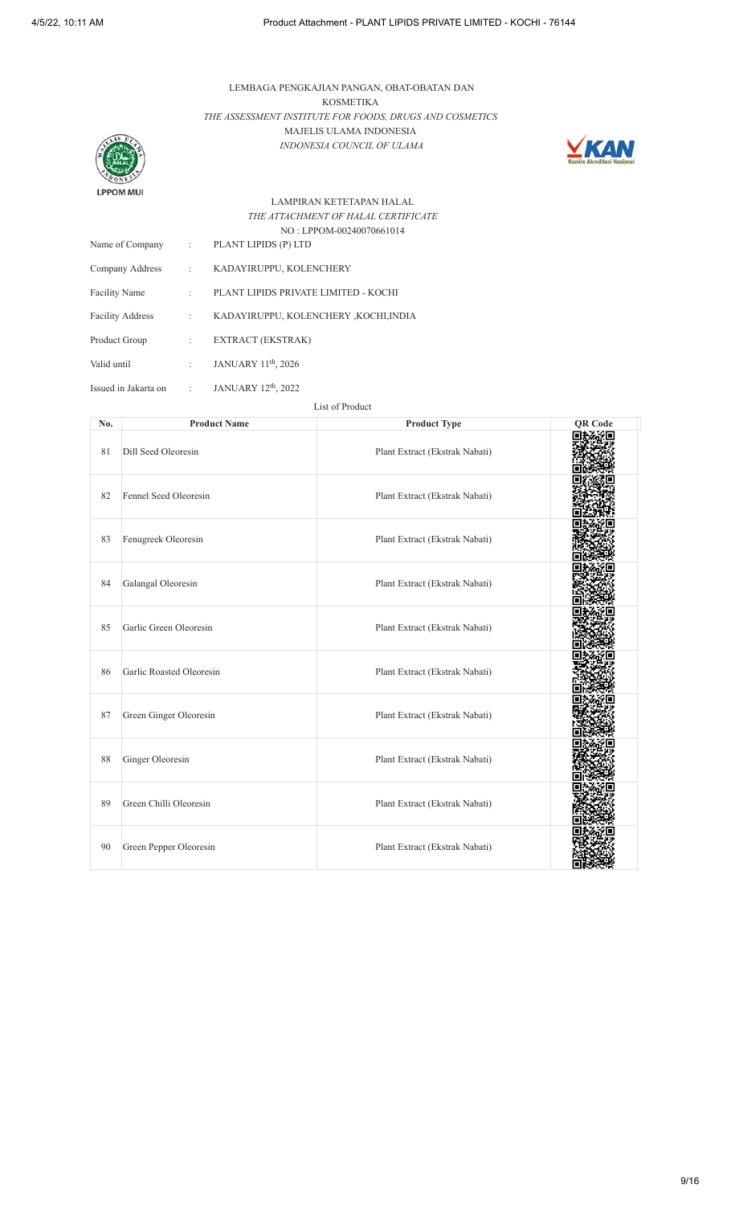| LEMBAGA PENGKAJIAN PANGAN, OBAT-OBATAN DAN              |
|---------------------------------------------------------|
| KOSMETIKA                                               |
| THE ASSESSMENT INSTITUTE FOR FOODS, DRUGS AND COSMETICS |
| MAJELIS ULAMA INDONESIA                                 |
| INDONESIA COUNCIL OF ULAMA                              |
|                                                         |



| Komite Akreditasi Nasional |  |
|----------------------------|--|

|                         |                      | LAMPIRAN KETETAPAN HALAL<br>THE ATTACHMENT OF HALAL CERTIFICATE<br>NO: LPPOM-00240070661014 |
|-------------------------|----------------------|---------------------------------------------------------------------------------------------|
| Name of Company :       |                      | PLANT LIPIDS (P) LTD                                                                        |
| Company Address         | $1 - 1$              | KADAYIRUPPU, KOLENCHERY                                                                     |
| <b>Facility Name</b>    | $\ddot{\phantom{a}}$ | PLANT LIPIDS PRIVATE LIMITED - KOCHI                                                        |
| <b>Facility Address</b> | $1 - 1$              | KADAYIRUPPU, KOLENCHERY ,KOCHI,INDIA                                                        |
| Product Group           | $1 - 1$              | EXTRACT (EKSTRAK)                                                                           |
| Valid until             | $\mathcal{L}$        | JANUARY 11 <sup>th</sup> , 2026                                                             |
| Issued in Jakarta on    | $1 - 1$              | JANUARY 12 <sup>th</sup> , 2022                                                             |
|                         |                      | List of Product                                                                             |

| No. | <b>Product Name</b>      | <b>Product Type</b>            | <b>QR</b> Code |
|-----|--------------------------|--------------------------------|----------------|
| 81  | Dill Seed Oleoresin      | Plant Extract (Ekstrak Nabati) |                |
| 82  | Fennel Seed Oleoresin    | Plant Extract (Ekstrak Nabati) |                |
| 83  | Fenugreek Oleoresin      | Plant Extract (Ekstrak Nabati) |                |
| 84  | Galangal Oleoresin       | Plant Extract (Ekstrak Nabati) |                |
| 85  | Garlic Green Oleoresin   | Plant Extract (Ekstrak Nabati) |                |
| 86  | Garlic Roasted Oleoresin | Plant Extract (Ekstrak Nabati) |                |
| 87  | Green Ginger Oleoresin   | Plant Extract (Ekstrak Nabati) |                |
| 88  | Ginger Oleoresin         | Plant Extract (Ekstrak Nabati) |                |
| 89  | Green Chilli Oleoresin   | Plant Extract (Ekstrak Nabati) |                |
| 90  | Green Pepper Oleoresin   | Plant Extract (Ekstrak Nabati) |                |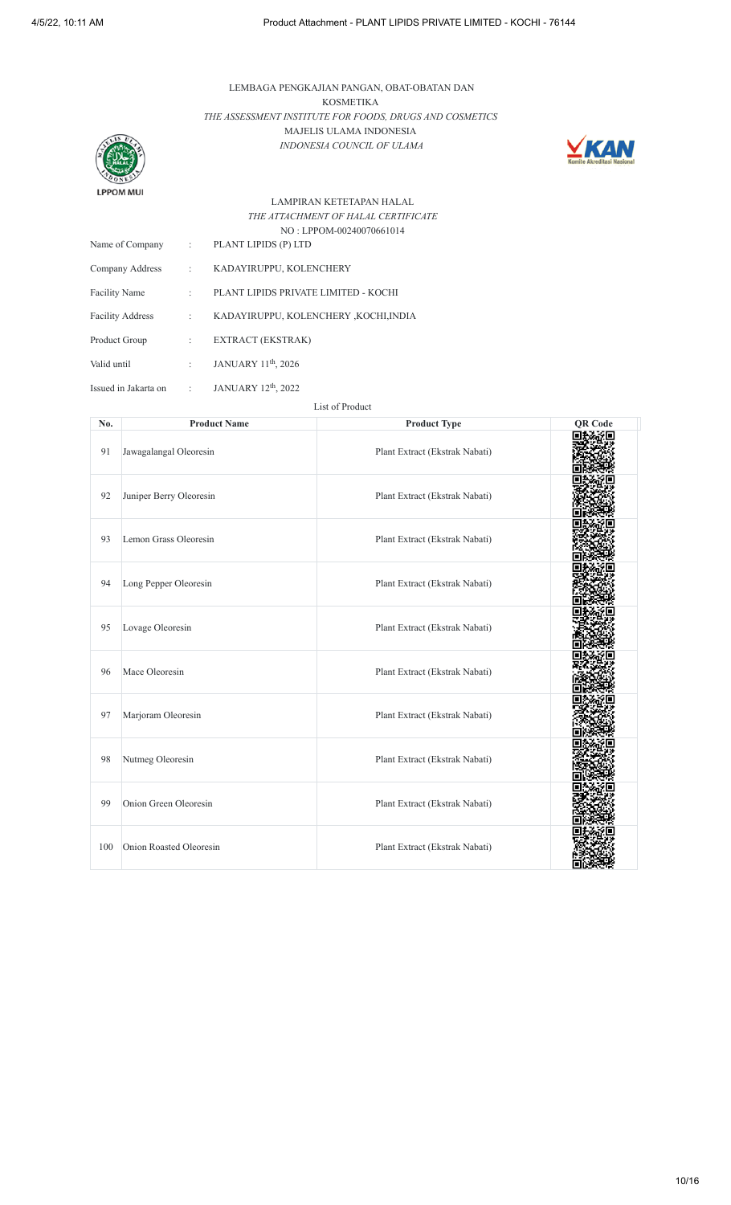| LEMBAGA PENGKAJIAN PANGAN, OBAT-OBATAN DAN              |
|---------------------------------------------------------|
| KOSMETIKA                                               |
| THE ASSESSMENT INSTITUTE FOR FOODS, DRUGS AND COSMETICS |
| MAJELIS ULAMA INDONESIA                                 |
| INDONESIA COUNCIL OF ULAMA                              |
|                                                         |



| omite Akreditasi Nasional |  |
|---------------------------|--|

| <b>LEFUIVI IVIUI</b>    |                                   | LAMPIRAN KETETAPAN HALAL<br>THE ATTACHMENT OF HALAL CERTIFICATE<br>NO: LPPOM-00240070661014 |
|-------------------------|-----------------------------------|---------------------------------------------------------------------------------------------|
| Name of Company         | $\mathcal{X} \subset \mathcal{X}$ | PLANT LIPIDS (P) LTD                                                                        |
| Company Address         | 2.11                              | KADAYIRUPPU, KOLENCHERY                                                                     |
| <b>Facility Name</b>    | $\mathcal{L}$                     | PLANT LIPIDS PRIVATE LIMITED - KOCHI                                                        |
| <b>Facility Address</b> | $1 - 1$                           | KADAYIRUPPU, KOLENCHERY ,KOCHI,INDIA                                                        |
| Product Group           | $1 - 1$                           | EXTRACT (EKSTRAK)                                                                           |
| Valid until             | $\ddot{\phantom{a}}$              | JANUARY 11 <sup>th</sup> , 2026                                                             |
| Issued in Jakarta on    | $1 - 1$                           | JANUARY 12 <sup>th</sup> , 2022                                                             |
|                         |                                   | List of Product                                                                             |

| No. | <b>Product Name</b>     | <b>Product Type</b>            | <b>QR</b> Code |
|-----|-------------------------|--------------------------------|----------------|
| 91  | Jawagalangal Oleoresin  | Plant Extract (Ekstrak Nabati) |                |
| 92  | Juniper Berry Oleoresin | Plant Extract (Ekstrak Nabati) |                |
| 93  | Lemon Grass Oleoresin   | Plant Extract (Ekstrak Nabati) |                |
| 94  | Long Pepper Oleoresin   | Plant Extract (Ekstrak Nabati) |                |
| 95  | Lovage Oleoresin        | Plant Extract (Ekstrak Nabati) |                |
| 96  | Mace Oleoresin          | Plant Extract (Ekstrak Nabati) |                |
| 97  | Marjoram Oleoresin      | Plant Extract (Ekstrak Nabati) |                |
| 98  | Nutmeg Oleoresin        | Plant Extract (Ekstrak Nabati) |                |
| 99  | Onion Green Oleoresin   | Plant Extract (Ekstrak Nabati) |                |
| 100 | Onion Roasted Oleoresin | Plant Extract (Ekstrak Nabati) |                |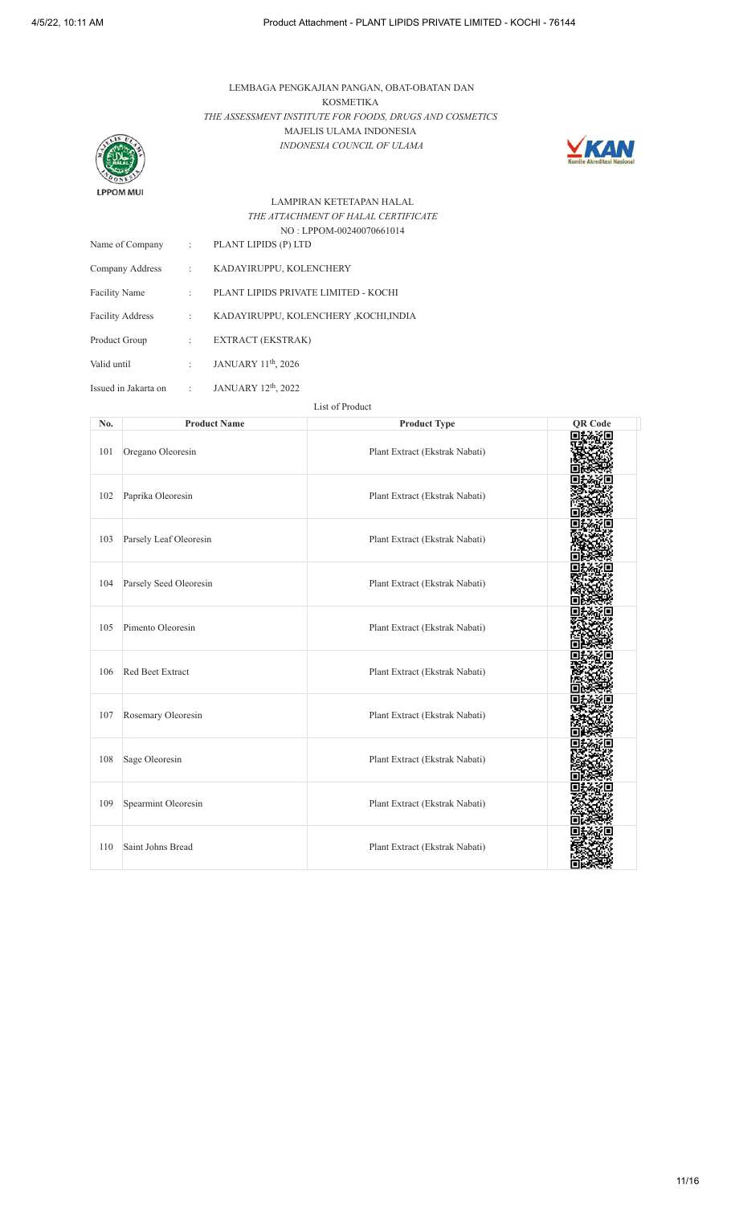| LEMBAGA PENGKAJIAN PANGAN. OBAT-OBATAN DAN              |
|---------------------------------------------------------|
| KOSMETIKA                                               |
| THE ASSESSMENT INSTITUTE FOR FOODS, DRUGS AND COSMETICS |
| <b>MAJELIS ULAMA INDONESIA</b>                          |
| INDONESIA COUNCIL OF ULAMA                              |
|                                                         |



| omite | <b>Akreditasi Nasional</b> |  |
|-------|----------------------------|--|

| LE E VIVI IVIUI         |                        | LAMPIRAN KETETAPAN HALAL<br>THE ATTACHMENT OF HALAL CERTIFICATE<br>NO: LPPOM-00240070661014 |
|-------------------------|------------------------|---------------------------------------------------------------------------------------------|
| Name of Company         | $\sim 1000$ km $^{-1}$ | PLANT LIPIDS (P) LTD                                                                        |
| Company Address         | $2.5-1.5$              | KADAYIRUPPU, KOLENCHERY                                                                     |
| <b>Facility Name</b>    | $\mathbb{R}^{n}$       | PLANT LIPIDS PRIVATE LIMITED - KOCHI                                                        |
| <b>Facility Address</b> | $1 - 1$                | KADAYIRUPPU, KOLENCHERY ,KOCHI,INDIA                                                        |
| Product Group           | $1 - 1$                | EXTRACT (EKSTRAK)                                                                           |
| Valid until             | ÷                      | JANUARY 11 <sup>th</sup> , 2026                                                             |
| Issued in Jakarta on :  |                        | JANUARY 12 <sup>th</sup> , 2022                                                             |
|                         |                        | List of Product                                                                             |

| No. | <b>Product Name</b>    | <b>Product Type</b>            | <b>QR</b> Code |
|-----|------------------------|--------------------------------|----------------|
| 101 | Oregano Oleoresin      | Plant Extract (Ekstrak Nabati) |                |
| 102 | Paprika Oleoresin      | Plant Extract (Ekstrak Nabati) |                |
| 103 | Parsely Leaf Oleoresin | Plant Extract (Ekstrak Nabati) |                |
| 104 | Parsely Seed Oleoresin | Plant Extract (Ekstrak Nabati) |                |
| 105 | Pimento Oleoresin      | Plant Extract (Ekstrak Nabati) |                |
| 106 | Red Beet Extract       | Plant Extract (Ekstrak Nabati) |                |
| 107 | Rosemary Oleoresin     | Plant Extract (Ekstrak Nabati) |                |
| 108 | Sage Oleoresin         | Plant Extract (Ekstrak Nabati) |                |
| 109 | Spearmint Oleoresin    | Plant Extract (Ekstrak Nabati) |                |
| 110 | Saint Johns Bread      | Plant Extract (Ekstrak Nabati) |                |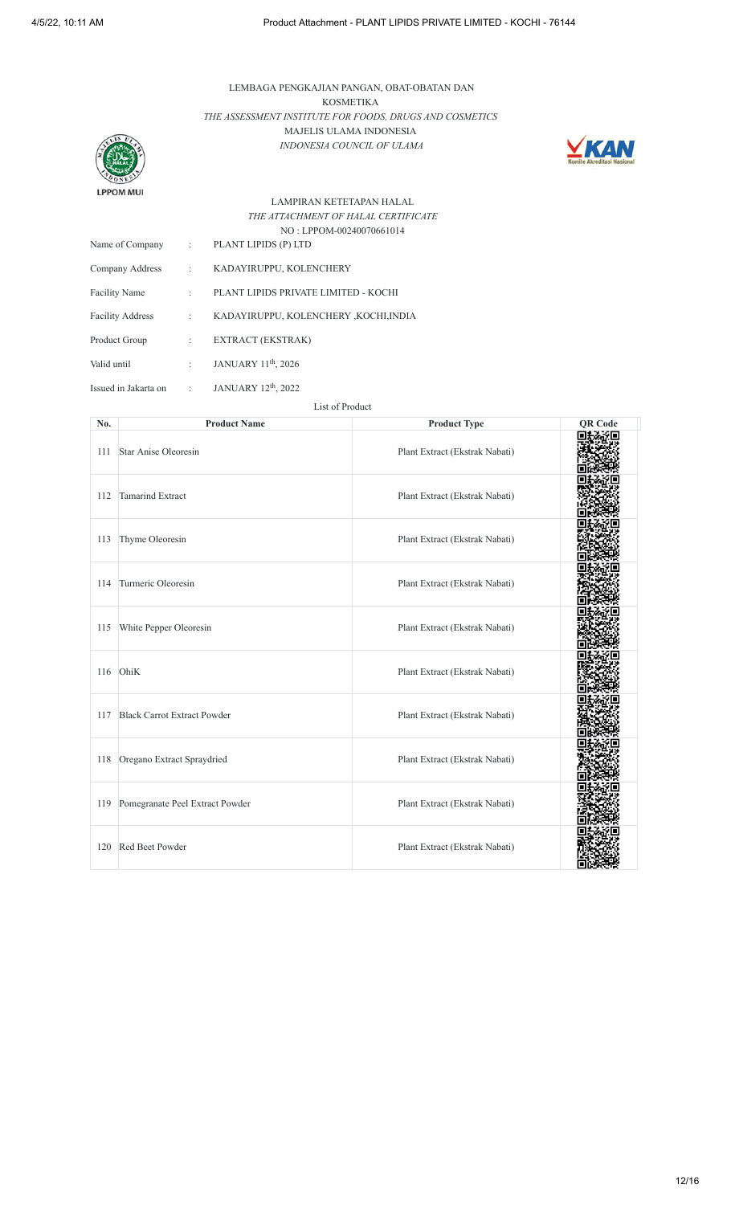⊻KAN

| LEMBAGA PENGKAJIAN PANGAN, OBAT-OBATAN DAN              |
|---------------------------------------------------------|
| KOSMETIK A                                              |
| THE ASSESSMENT INSTITUTE FOR FOODS, DRUGS AND COSMETICS |
| MAJELIS ULAMA INDONESIA                                 |
| INDONESIA COUNCIL OF ULAMA                              |
|                                                         |



| <b>LPPOM MUI</b>        |                      |                                      |
|-------------------------|----------------------|--------------------------------------|
|                         |                      | LAMPIRAN KETETAPAN HALAL             |
|                         |                      | THE ATTACHMENT OF HALAL CERTIFICATE  |
|                         |                      | NO: LPPOM-00240070661014             |
| Name of Company         | <b>Contractor</b>    | PLANT LIPIDS (P) LTD                 |
| Company Address         | $\mathcal{L}$        | KADAYIRUPPU, KOLENCHERY              |
| <b>Facility Name</b>    | $\ddot{\phantom{a}}$ | PLANT LIPIDS PRIVATE LIMITED - KOCHI |
| <b>Facility Address</b> | $1 - 1$              | KADAYIRUPPU. KOLENCHERY .KOCHI.INDIA |
| Product Group           | $\ddot{\phantom{a}}$ | EXTRACT (EKSTRAK)                    |
|                         |                      |                                      |

Issued in Jakarta on : JANUARY 12<sup>th</sup>, 2022

Valid until  $I^{\text{th}}$ , 2026

| No. | <b>Product Name</b>                | <b>Product Type</b>            | <b>QR</b> Code |
|-----|------------------------------------|--------------------------------|----------------|
| 111 | Star Anise Oleoresin               | Plant Extract (Ekstrak Nabati) |                |
| 112 | <b>Tamarind Extract</b>            | Plant Extract (Ekstrak Nabati) |                |
| 113 | Thyme Oleoresin                    | Plant Extract (Ekstrak Nabati) |                |
| 114 | Turmeric Oleoresin                 | Plant Extract (Ekstrak Nabati) |                |
| 115 | White Pepper Oleoresin             | Plant Extract (Ekstrak Nabati) |                |
| 116 | OhiK                               | Plant Extract (Ekstrak Nabati) |                |
| 117 | <b>Black Carrot Extract Powder</b> | Plant Extract (Ekstrak Nabati) |                |
| 118 | Oregano Extract Spraydried         | Plant Extract (Ekstrak Nabati) |                |
| 119 | Pomegranate Peel Extract Powder    | Plant Extract (Ekstrak Nabati) |                |
| 120 | Red Beet Powder                    | Plant Extract (Ekstrak Nabati) |                |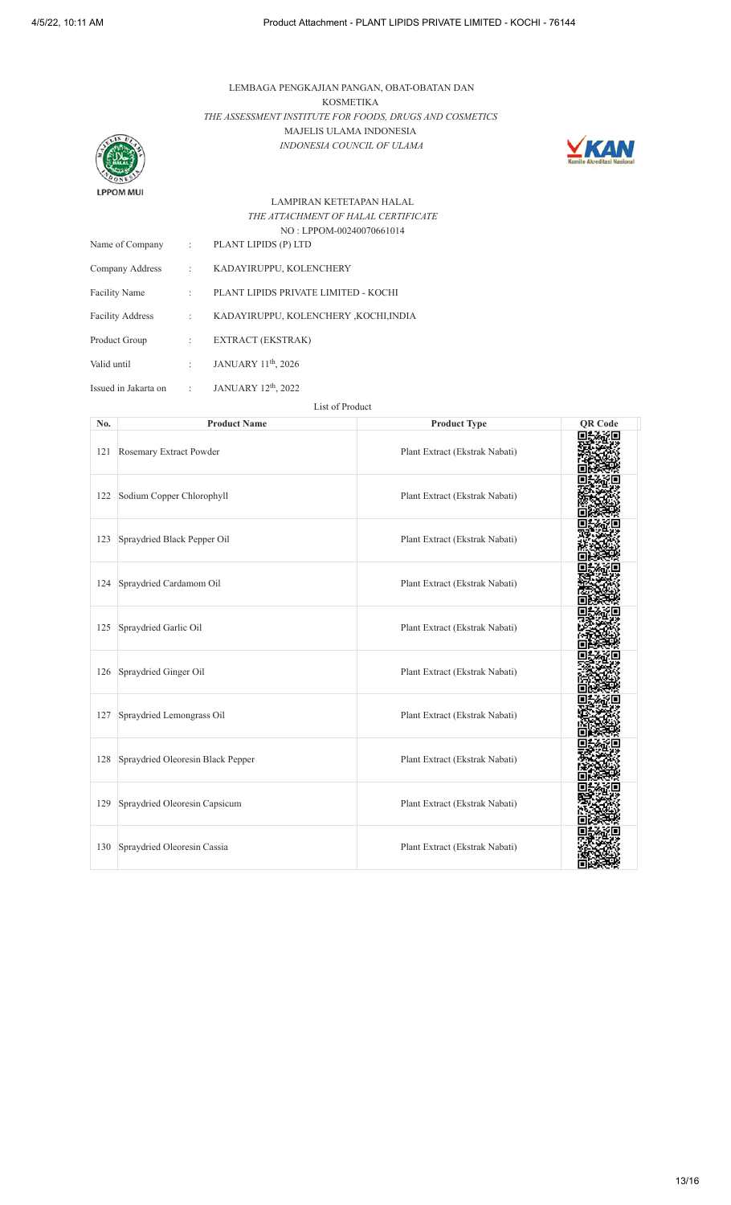| LEMBAGA PENGKAJIAN PANGAN, OBAT-OBATAN DAN              |
|---------------------------------------------------------|
| KOSMETIKA                                               |
| THE ASSESSMENT INSTITUTE FOR FOODS, DRUGS AND COSMETICS |
| <b>MAJELIS ULAMA INDONESIA</b>                          |
| INDONESIA COUNCIL OF ULAMA                              |
|                                                         |

LAMPIRAN KETETAPAN HALAL



|  | KA.<br><b>Komite Akreditasi Nasion</b><br>Company and the country country the of oil<br>a consistency of the consistency of the con- |  |
|--|--------------------------------------------------------------------------------------------------------------------------------------|--|
|  |                                                                                                                                      |  |

|                         |         | THE ATTACHMENT OF HALAL CERTIFICATE             |
|-------------------------|---------|-------------------------------------------------|
|                         |         | NO: LPPOM-00240070661014                        |
| Name of Company :       |         | PLANT LIPIDS (P) LTD                            |
| Company Address :       |         | KADAYIRUPPU, KOLENCHERY                         |
| <b>Facility Name</b>    | $1 - 1$ | PLANT LIPIDS PRIVATE LIMITED - KOCHI            |
| <b>Facility Address</b> | $1 - 1$ | KADAYIRUPPU, KOLENCHERY ,KOCHI,INDIA            |
| Product Group           | $1 - 1$ | EXTRACT (EKSTRAK)                               |
| Valid until             | tion.   | JANUARY 11 <sup>th</sup> , 2026                 |
|                         |         | Issued in Jakarta on : JANUARY $12^{th}$ , 2022 |
|                         |         | List of Product                                 |

| No. | <b>Product Name</b>               | <b>Product Type</b>            | <b>QR</b> Code |
|-----|-----------------------------------|--------------------------------|----------------|
| 121 | Rosemary Extract Powder           | Plant Extract (Ekstrak Nabati) |                |
| 122 | Sodium Copper Chlorophyll         | Plant Extract (Ekstrak Nabati) |                |
| 123 | Spraydried Black Pepper Oil       | Plant Extract (Ekstrak Nabati) |                |
| 124 | Spraydried Cardamom Oil           | Plant Extract (Ekstrak Nabati) |                |
| 125 | Spraydried Garlic Oil             | Plant Extract (Ekstrak Nabati) |                |
|     | 126 Spraydried Ginger Oil         | Plant Extract (Ekstrak Nabati) |                |
| 127 | Spraydried Lemongrass Oil         | Plant Extract (Ekstrak Nabati) |                |
| 128 | Spraydried Oleoresin Black Pepper | Plant Extract (Ekstrak Nabati) |                |
| 129 | Spraydried Oleoresin Capsicum     | Plant Extract (Ekstrak Nabati) |                |
| 130 | Spraydried Oleoresin Cassia       | Plant Extract (Ekstrak Nabati) |                |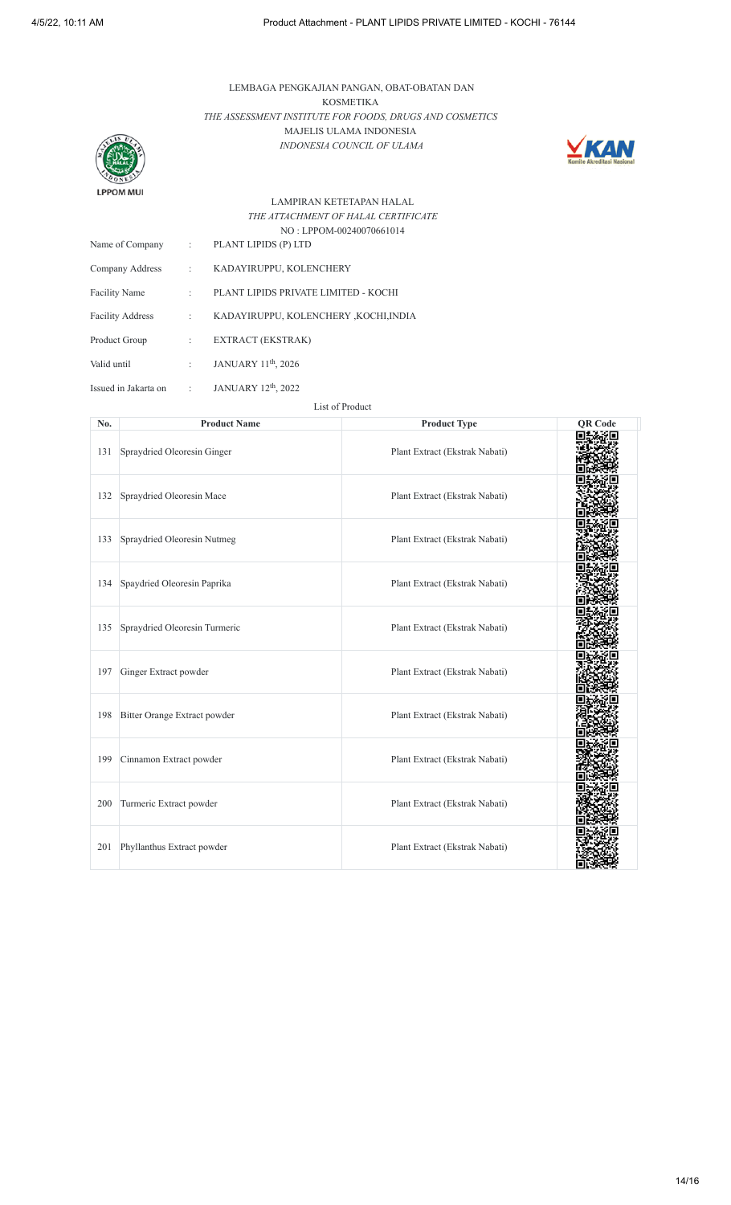**KAN** 



Valid until  $I^{\text{th}}$ , 2026

Issued in Jakarta on : JANUARY 12<sup>th</sup>, 2022

| $\sim$                  |                      |                                      |
|-------------------------|----------------------|--------------------------------------|
| <b>LPPOM MUI</b>        |                      |                                      |
|                         |                      | LAMPIRAN KETETAPAN HALAL             |
|                         |                      | THE ATTACHMENT OF HALAL CERTIFICATE  |
|                         |                      | NO: LPPOM-00240070661014             |
| Name of Company         |                      | : PLANT LIPIDS (P) LTD               |
| Company Address         | $\sim 10^{-11}$      | KADAYIRUPPU, KOLENCHERY              |
| <b>Facility Name</b>    | $\ddot{\phantom{a}}$ | PLANT LIPIDS PRIVATE LIMITED - KOCHI |
| <b>Facility Address</b> | $1 - 1$              | KADAYIRUPPU, KOLENCHERY ,KOCHI,INDIA |
| Product Group           | ÷                    | EXTRACT (EKSTRAK)                    |

| No. | <b>Product Name</b>             | <b>Product Type</b>            | <b>QR</b> Code |
|-----|---------------------------------|--------------------------------|----------------|
|     | 131 Spraydried Oleoresin Ginger | Plant Extract (Ekstrak Nabati) |                |
|     | 132 Spraydried Oleoresin Mace   | Plant Extract (Ekstrak Nabati) |                |
| 133 | Spraydried Oleoresin Nutmeg     | Plant Extract (Ekstrak Nabati) |                |
|     | 134 Spaydried Oleoresin Paprika | Plant Extract (Ekstrak Nabati) |                |
| 135 | Spraydried Oleoresin Turmeric   | Plant Extract (Ekstrak Nabati) |                |
| 197 | Ginger Extract powder           | Plant Extract (Ekstrak Nabati) |                |
| 198 | Bitter Orange Extract powder    | Plant Extract (Ekstrak Nabati) |                |
| 199 | Cinnamon Extract powder         | Plant Extract (Ekstrak Nabati) |                |
| 200 | Turmeric Extract powder         | Plant Extract (Ekstrak Nabati) |                |
|     | 201 Phyllanthus Extract powder  | Plant Extract (Ekstrak Nabati) |                |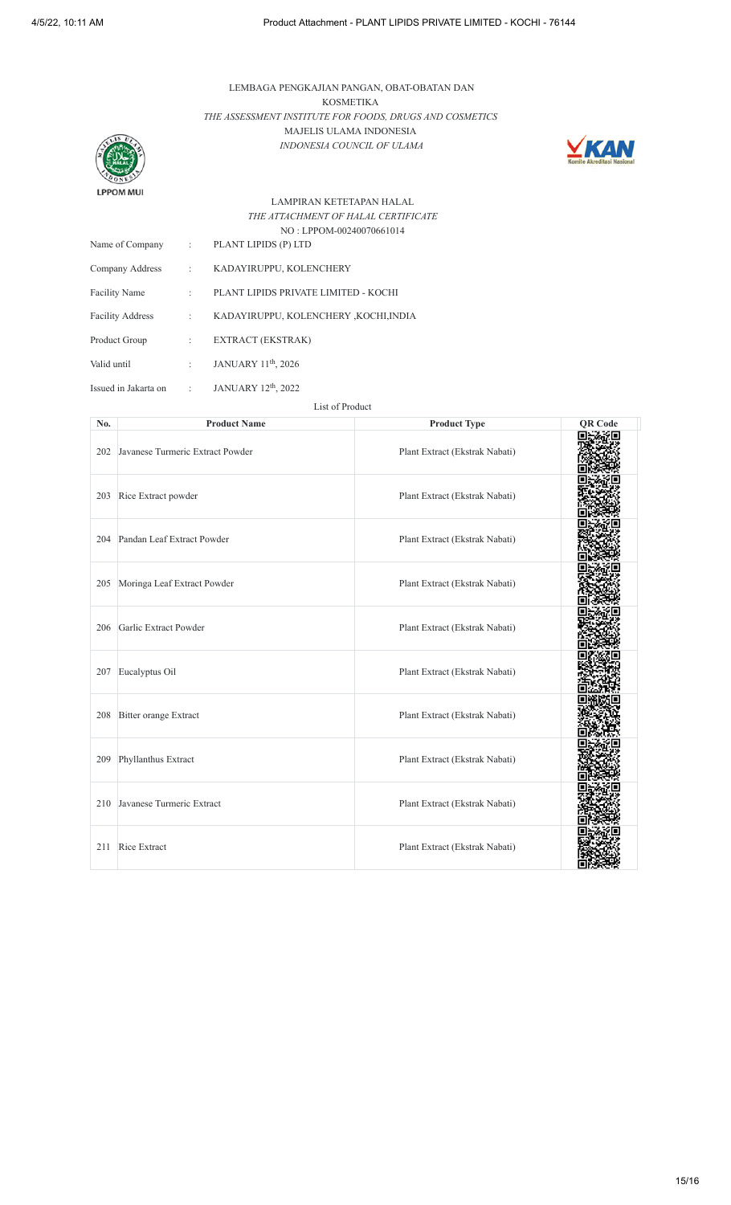**KAN** 

| LEMBAGA PENGKAJIAN PANGAN, OBAT-OBATAN DAN              |
|---------------------------------------------------------|
| KOSMETIKA                                               |
| THE ASSESSMENT INSTITUTE FOR FOODS, DRUGS AND COSMETICS |
| MAJELIS ULAMA INDONESIA                                 |
| INDONESIA COUNCIL OF ULAMA                              |
|                                                         |



| DONES<br><b>LPPOM MUI</b> |   |                                           |
|---------------------------|---|-------------------------------------------|
|                           |   | LAMPIRAN KETETAPAN HALAL                  |
|                           |   | THE ATTACHMENT OF HALAL CERTIFICATE       |
|                           |   | NO: LPPOM-00240070661014                  |
|                           |   | Name of Company : PLANT LIPIDS (P) LTD    |
|                           |   | Company Address : KADAYIRUPPU, KOLENCHERY |
| <b>Facility Name</b>      | ÷ | PLANT LIPIDS PRIVATE LIMITED - KOCHI      |

| <b>Facility Address</b> | : KADAYIRUPPU, KOLENCHERY ,KOCHI,INDIA |
|-------------------------|----------------------------------------|
| Product Group           | EXTRACT (EKSTRAK)                      |
| Valid until             | : JANUARY $11^{th}$ , 2026             |
|                         |                                        |

Issued in Jakarta on : JANUARY 12<sup>th</sup>, 2022

| No. | <b>Product Name</b>              | <b>Product Type</b>            | <b>QR</b> Code |
|-----|----------------------------------|--------------------------------|----------------|
| 202 | Javanese Turmeric Extract Powder | Plant Extract (Ekstrak Nabati) |                |
| 203 | Rice Extract powder              | Plant Extract (Ekstrak Nabati) |                |
|     | 204 Pandan Leaf Extract Powder   | Plant Extract (Ekstrak Nabati) |                |
| 205 | Moringa Leaf Extract Powder      | Plant Extract (Ekstrak Nabati) |                |
| 206 | Garlic Extract Powder            | Plant Extract (Ekstrak Nabati) |                |
| 207 | Eucalyptus Oil                   | Plant Extract (Ekstrak Nabati) |                |
| 208 | <b>Bitter orange Extract</b>     | Plant Extract (Ekstrak Nabati) |                |
| 209 | Phyllanthus Extract              | Plant Extract (Ekstrak Nabati) |                |
| 210 | Javanese Turmeric Extract        | Plant Extract (Ekstrak Nabati) |                |
|     | 211 Rice Extract                 | Plant Extract (Ekstrak Nabati) |                |